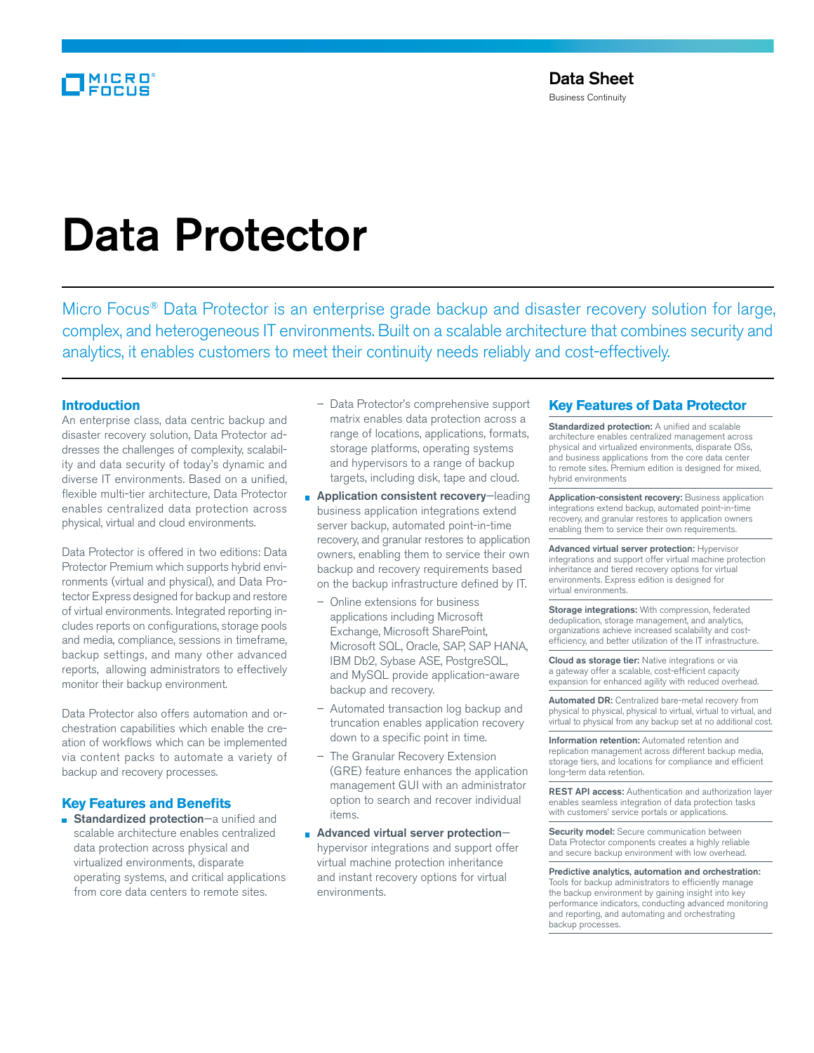# Data Protector

Micro Focus<sup>®</sup> Data Protector is an enterprise grade backup and disaster recovery solution for large, complex, and heterogeneous IT environments. Built on a scalable architecture that combines security and analytics, it enables customers to meet their continuity needs reliably and cost-effectively.

### **Introduction**

An enterprise class, data centric backup and disaster recovery solution, Data Protector addresses the challenges of complexity, scalability and data security of today's dynamic and diverse IT environments. Based on a unified, flexible multi-tier architecture, Data Protector enables centralized data protection across physical, virtual and cloud environments.

Data Protector is offered in two editions: Data Protector Premium which supports hybrid environments (virtual and physical), and Data Protector Express designed for backup and restore of virtual environments. Integrated reporting includes reports on configurations, storage pools and media, compliance, sessions in timeframe, backup settings, and many other advanced reports, allowing administrators to effectively monitor their backup environment.

Data Protector also offers automation and orchestration capabilities which enable the creation of workflows which can be implemented via content packs to automate a variety of backup and recovery processes.

## **Key Features and Benefits**

**Standardized protection**—a unified and scalable architecture enables centralized data protection across physical and virtualized environments, disparate operating systems, and critical applications from core data centers to remote sites.

- Data Protector's comprehensive support matrix enables data protection across a range of locations, applications, formats, storage platforms, operating systems and hypervisors to a range of backup targets, including disk, tape and cloud.
- **Application consistent recovery**-leading business application integrations extend server backup, automated point-in-time recovery, and granular restores to application owners, enabling them to service their own backup and recovery requirements based on the backup infrastructure defined by IT.
	- Online extensions for business applications including Microsoft Exchange, Microsoft SharePoint, Microsoft SQL, Oracle, SAP, SAP HANA, IBM Db2, Sybase ASE, PostgreSQL, and MySQL provide application-aware backup and recovery.
	- Automated transaction log backup and truncation enables application recovery down to a specific point in time.
	- The Granular Recovery Extension (GRE) feature enhances the application management GUI with an administrator option to search and recover individual items.
- Advanced virtual server protectionhypervisor integrations and support offer virtual machine protection inheritance and instant recovery options for virtual environments.

## **Key Features of Data Protector**

Standardized protection: A unified and scalable architecture enables centralized management across physical and virtualized environments, disparate OSs, and business applications from the core data center to remote sites. Premium edition is designed for mixed, hybrid environments

Application-consistent recovery: Business application integrations extend backup, automated point-in-time recovery, and granular restores to application owners enabling them to service their own requirements.

Advanced virtual server protection: Hypervisor integrations and support offer virtual machine protection inheritance and tiered recovery options for virtual environments. Express edition is designed for virtual environments.

Storage integrations: With compression, federated deduplication, storage management, and analytics, organizations achieve increased scalability and costefficiency, and better utilization of the IT infrastructure.

Cloud as storage tier: Native integrations or via a gateway offer a scalable, cost-efficient capacity expansion for enhanced agility with reduced overhead.

Automated DR: Centralized bare-metal recovery from physical to physical, physical to virtual, virtual to virtual, and virtual to physical from any backup set at no additional cost.

Information retention: Automated retention and replication management across different backup media, storage tiers, and locations for compliance and efficient long-term data retention.

REST API access: Authentication and authorization layer enables seamless integration of data protection tasks with customers' service portals or applications.

Security model: Secure communication between Data Protector components creates a highly reliable and secure backup environment with low overhead.

Predictive analytics, automation and orchestration: Tools for backup administrators to efficiently manage the backup environment by gaining insight into key performance indicators, conducting advanced monitoring and reporting, and automating and orchestrating backup processes.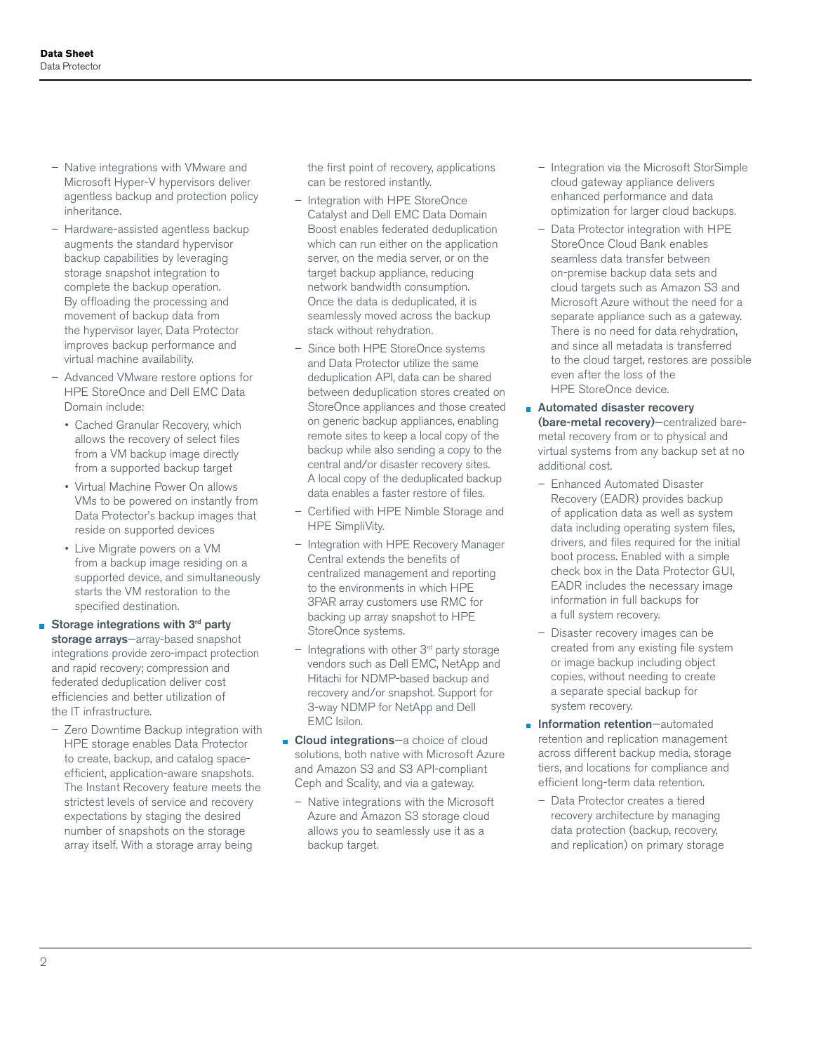- Native integrations with VMware and Microsoft Hyper-V hypervisors deliver agentless backup and protection policy inheritance.
- Hardware-assisted agentless backup augments the standard hypervisor backup capabilities by leveraging storage snapshot integration to complete the backup operation. By offloading the processing and movement of backup data from the hypervisor layer, Data Protector improves backup performance and virtual machine availability.
- Advanced VMware restore options for HPE StoreOnce and Dell EMC Data Domain include:
	- Cached Granular Recovery, which allows the recovery of select files from a VM backup image directly from a supported backup target
	- Virtual Machine Power On allows VMs to be powered on instantly from Data Protector's backup images that reside on supported devices
	- Live Migrate powers on a VM from a backup image residing on a supported device, and simultaneously starts the VM restoration to the specified destination.
- Storage integrations with  $3<sup>rd</sup>$  party storage arrays-array-based snapshot integrations provide zero-impact protection and rapid recovery; compression and federated deduplication deliver cost efficiencies and better utilization of the IT infrastructure.
	- Zero Downtime Backup integration with HPE storage enables Data Protector to create, backup, and catalog spaceefficient, application-aware snapshots. The Instant Recovery feature meets the strictest levels of service and recovery expectations by staging the desired number of snapshots on the storage array itself. With a storage array being

the first point of recovery, applications can be restored instantly.

- Integration with HPE StoreOnce Catalyst and Dell EMC Data Domain Boost enables federated deduplication which can run either on the application server, on the media server, or on the target backup appliance, reducing network bandwidth consumption. Once the data is deduplicated, it is seamlessly moved across the backup stack without rehydration.
- Since both HPE StoreOnce systems and Data Protector utilize the same deduplication API, data can be shared between deduplication stores created on StoreOnce appliances and those created on generic backup appliances, enabling remote sites to keep a local copy of the backup while also sending a copy to the central and/or disaster recovery sites. A local copy of the deduplicated backup data enables a faster restore of files.
- Certified with HPE Nimble Storage and HPE SimpliVity.
- Integration with HPE Recovery Manager Central extends the benefits of centralized management and reporting to the environments in which HPE 3PAR array customers use RMC for backing up array snapshot to HPE StoreOnce systems.
- $-$  Integrations with other  $3<sup>rd</sup>$  party storage vendors such as Dell EMC, NetApp and Hitachi for NDMP-based backup and recovery and/or snapshot. Support for 3-way NDMP for NetApp and Dell EMC Isilon.
- Cloud integrations-a choice of cloud solutions, both native with Microsoft Azure and Amazon S3 and S3 API-compliant Ceph and Scality, and via a gateway.
	- Native integrations with the Microsoft Azure and Amazon S3 storage cloud allows you to seamlessly use it as a backup target.
- Integration via the Microsoft StorSimple cloud gateway appliance delivers enhanced performance and data optimization for larger cloud backups.
- Data Protector integration with HPE StoreOnce Cloud Bank enables seamless data transfer between on-premise backup data sets and cloud targets such as Amazon S3 and Microsoft Azure without the need for a separate appliance such as a gateway. There is no need for data rehydration, and since all metadata is transferred to the cloud target, restores are possible even after the loss of the HPE StoreOnce device.
- **Automated disaster recovery** (bare-metal recovery)—centralized baremetal recovery from or to physical and virtual systems from any backup set at no additional cost.
	- Enhanced Automated Disaster Recovery (EADR) provides backup of application data as well as system data including operating system files, drivers, and files required for the initial boot process. Enabled with a simple check box in the Data Protector GUI, EADR includes the necessary image information in full backups for a full system recovery.
	- Disaster recovery images can be created from any existing file system or image backup including object copies, without needing to create a separate special backup for system recovery.
- **Information retention**—automated retention and replication management across different backup media, storage tiers, and locations for compliance and efficient long-term data retention.
	- Data Protector creates a tiered recovery architecture by managing data protection (backup, recovery, and replication) on primary storage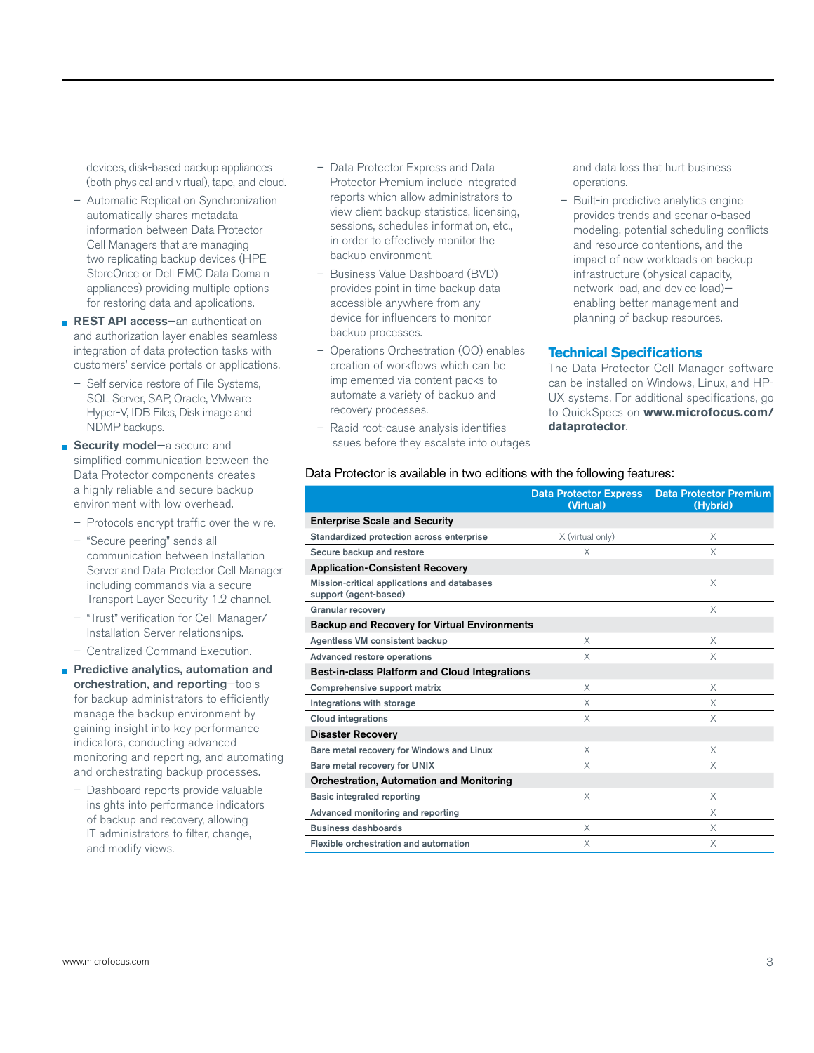devices, disk-based backup appliances (both physical and virtual), tape, and cloud.

- Automatic Replication Synchronization automatically shares metadata information between Data Protector Cell Managers that are managing two replicating backup devices (HPE StoreOnce or Dell EMC Data Domain appliances) providing multiple options for restoring data and applications.
- **REST API access**-an authentication and authorization layer enables seamless integration of data protection tasks with customers' service portals or applications.
	- Self service restore of File Systems, SQL Server, SAP, Oracle, VMware Hyper-V, IDB Files, Disk image and NDMP backups.
- Security model-a secure and simplified communication between the Data Protector components creates a highly reliable and secure backup environment with low overhead.
	- Protocols encrypt traffic over the wire.
	- "Secure peering" sends all communication between Installation Server and Data Protector Cell Manager including commands via a secure Transport Layer Security 1.2 channel.
	- "Trust" verification for Cell Manager/ Installation Server relationships.
	- Centralized Command Execution.

Predictive analytics, automation and orchestration, and reporting—tools for backup administrators to efficiently manage the backup environment by gaining insight into key performance indicators, conducting advanced monitoring and reporting, and automating and orchestrating backup processes.

– Dashboard reports provide valuable insights into performance indicators of backup and recovery, allowing IT administrators to filter, change, and modify views.

- Data Protector Express and Data Protector Premium include integrated reports which allow administrators to view client backup statistics, licensing, sessions, schedules information, etc., in order to effectively monitor the backup environment.
- Business Value Dashboard (BVD) provides point in time backup data accessible anywhere from any device for influencers to monitor backup processes.
- Operations Orchestration (OO) enables creation of workflows which can be implemented via content packs to automate a variety of backup and recovery processes.
- Rapid root-cause analysis identifies issues before they escalate into outages

and data loss that hurt business operations.

– Built-in predictive analytics engine provides trends and scenario-based modeling, potential scheduling conflicts and resource contentions, and the impact of new workloads on backup infrastructure (physical capacity, network load, and device load) enabling better management and planning of backup resources.

#### **Technical Specifications**

The Data Protector Cell Manager software can be installed on Windows, Linux, and HP-UX systems. For additional specifications, go to QuickSpecs on **[www.microfocus.com/](http://www.microfocus.com/dataprotector) [dataprotector](http://www.microfocus.com/dataprotector)**.

#### Data Protector is available in two editions with the following features:

|                                                                      | <b>Data Protector Express</b><br>(Virtual) | <b>Data Protector Premium</b><br>(Hybrid) |
|----------------------------------------------------------------------|--------------------------------------------|-------------------------------------------|
| <b>Enterprise Scale and Security</b>                                 |                                            |                                           |
| Standardized protection across enterprise                            | X (virtual only)                           | X                                         |
| Secure backup and restore                                            | X                                          | X                                         |
| <b>Application-Consistent Recovery</b>                               |                                            |                                           |
| Mission-critical applications and databases<br>support (agent-based) |                                            | X                                         |
| <b>Granular recovery</b>                                             |                                            | X                                         |
| <b>Backup and Recovery for Virtual Environments</b>                  |                                            |                                           |
| Agentless VM consistent backup                                       | X                                          | X                                         |
| Advanced restore operations                                          | X                                          | X                                         |
| Best-in-class Platform and Cloud Integrations                        |                                            |                                           |
| Comprehensive support matrix                                         | $\times$                                   | X                                         |
| Integrations with storage                                            | X                                          | X                                         |
| <b>Cloud integrations</b>                                            | X                                          | X                                         |
| <b>Disaster Recovery</b>                                             |                                            |                                           |
| Bare metal recovery for Windows and Linux                            | X                                          | X                                         |
| Bare metal recovery for UNIX                                         | X                                          | $\times$                                  |
| Orchestration, Automation and Monitoring                             |                                            |                                           |
| Basic integrated reporting                                           | X                                          | X                                         |
| Advanced monitoring and reporting                                    |                                            | X                                         |
| <b>Business dashboards</b>                                           | X                                          | X                                         |
| Flexible orchestration and automation                                | X                                          | X                                         |